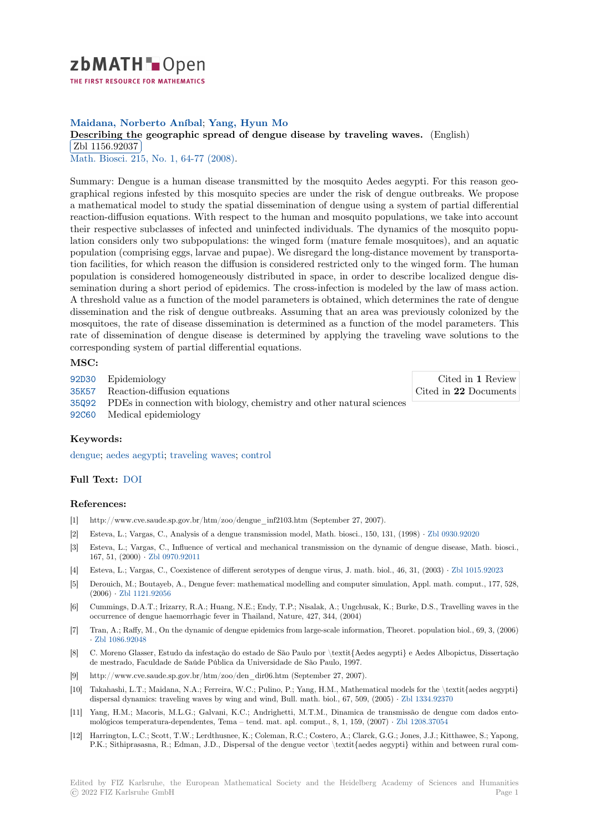

**Maidana, Norberto Aníbal**; **Yang, Hyun Mo**

**[D](https://zbmath.org/)escribing the geographic spread of dengue disease by traveling waves.** (English) Zbl 1156.92037

<u>Ebi 1190.92001</u><br>Math. Biosci. 215, No. 1, 64-77 (2008).

[Summary: Dengue is a human disease transmitted by the mosquito Aedes aegypt](https://zbmath.org/1156.92037)i. For this reason geo[graphical regions](https://zbmath.org/1156.92037) infested by this mosquito species are under the risk of dengue outbreaks. We propose [a mathematic](https://zbmath.org/journals/?q=se:150)[al model to study the sp](https://zbmath.org/?q=in:232284)atial dissemination of dengue using a system of partial differential reaction-diffusion equations. With respect to the human and mosquito populations, we take into account their respective subclasses of infected and uninfected individuals. The dynamics of the mosquito population considers only two subpopulations: the winged form (mature female mosquitoes), and an aquatic population (comprising eggs, larvae and pupae). We disregard the long-distance movement by transportation facilities, for which reason the diffusion is considered restricted only to the winged form. The human population is considered homogeneously distributed in space, in order to describe localized dengue dissemination during a short period of epidemics. The cross-infection is modeled by the law of mass action. A threshold value as a function of the model parameters is obtained, which determines the rate of dengue dissemination and the risk of dengue outbreaks. Assuming that an area was previously colonized by the mosquitoes, the rate of disease dissemination is determined as a function of the model parameters. This rate of dissemination of dengue disease is determined by applying the traveling wave solutions to the corresponding system of partial differential equations.

## **MSC:**

92D30 Epidemiology

- 35K57 Reaction-diffusion equations
- 35Q92 PDEs in connection with biology, chemistry and other natural sciences
- 92C60 Medical epidemiology

## **[Keyw](https://zbmath.org/classification/?q=cc:35K57)ords:**

[dengue](https://zbmath.org/classification/?q=cc:35Q92); aedes aegypti; traveling waves; control

## **Full Text:** DOI

## **[Refere](https://zbmath.org/?q=ut:dengue)[nces:](https://zbmath.org/?q=ut:aedes+aegypti)**

- [1] http://www.cve.saude.sp.gov.br/htm/zoo/dengue\_inf2103.htm (September 27, 2007).
- [2] Esteva, L[.; Var](https://dx.doi.org/10.1016/j.mbs.2008.05.008)gas, C., Analysis of a dengue transmission model, Math. biosci., 150, 131, (1998) *·* Zbl 0930.92020
- [3] Esteva, L.; Vargas, C., Influence of vertical and mechanical transmission on the dynamic of dengue disease, Math. biosci., 167, 51, (2000) *·* Zbl 0970.92011
- [4] Esteva, L.; Vargas, C., Coexistence of different serotypes of dengue virus, J. math. biol., 46, 31, (2003) *·* Zbl 1015.92023
- [5] Derouich, M.; Boutayeb, A., Dengue fever: mathematical modelling and computer simulation, App[l. math. comput](https://zbmath.org/0930.92020)., 177, 528, (2006) *·* Zbl 1121.92056
- [6] Cummings, D.A.[T.; Irizarry, R.A](https://zbmath.org/0970.92011).; Huang, N.E.; Endy, T.P.; Nisalak, A.; Ungchusak, K.; Burke, D.S., Travelling waves in the occurrence of dengue haemorrhagic fever in Thailand, Nature, 427, 344, (2004)
- [7] Tran, A.; Raffy, M., On the dynamic of dengue epidemics from large-scale information, Theoret. population biol., 69, 3, (2006) *·* Zbl 10[86.92048](https://zbmath.org/1121.92056)
- [8] C. Moreno Glasser, Estudo da infestação do estado de São Paulo por \textit{Aedes aegypti} e Aedes Albopictus, Dissertação de mestrado, Faculdade de Saúde Pública da Universidade de São Paulo, 1997.
- [9] http://www.cve.saude.sp.gov.br/htm/zoo/den\_dir06.htm (September 27, 2007).
- [10] [Takahashi, L.T.;](https://zbmath.org/1086.92048) Maidana, N.A.; Ferreira, W.C.; Pulino, P.; Yang, H.M., Mathematical models for the \textit{aedes aegypti} dispersal dynamics: traveling waves by wing and wind, Bull. math. biol., 67, 509, (2005) *·* Zbl 1334.92370
- [11] Yang, H.M.; Macoris, M.L.G.; Galvani, K.C.; Andrighetti, M.T.M., Dinamica de transmissão de dengue com dados entomológicos temperatura-dependentes, Tema – tend. mat. apl. comput., 8, 1, 159, (2007) *·* Zbl 1208.37054
- [12] Harrington, L.C.; Scott, T.W.; Lerdthusnee, K.; Coleman, R.C.; Costero, A.; Clarck, G.G.; Jones, J.J.; Kitthawee, S.; Yapong, P.K.; Sithiprasasna, R.; Edman, J.D., Dispersal of the dengue vector \textit{aedes aegyp[ti} within and b](https://zbmath.org/1334.92370)etween rural com-

Edited by FIZ Karlsruhe, the European Mathematical Society and the Heidelberg Academy of Sciences and Humanities © 2022 FIZ Karlsruhe GmbH Page 1

Cited in **1** Review Cited in **22** Documents